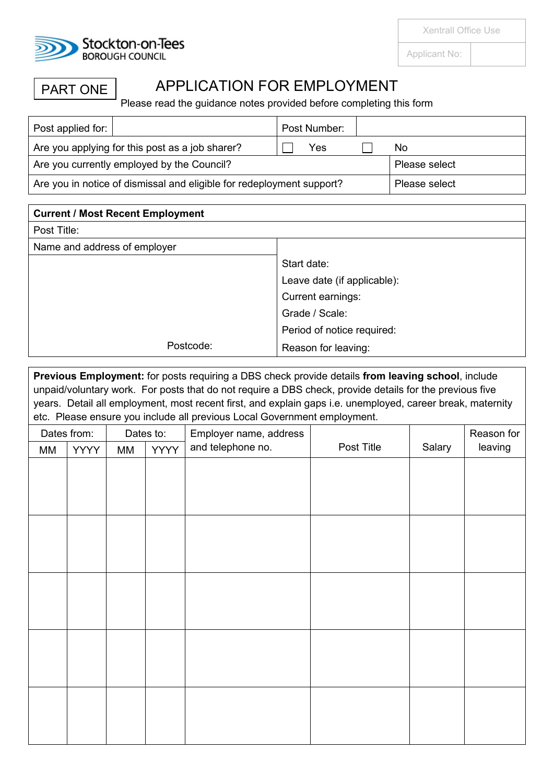

PART ONE

## APPLICATION FOR EMPLOYMENT

Please read the guidance notes provided before completing this form

| Post applied for:                                                     | Post Number: |               |
|-----------------------------------------------------------------------|--------------|---------------|
| Are you applying for this post as a job sharer?                       | Yes          | No            |
| Are you currently employed by the Council?                            |              | Please select |
| Are you in notice of dismissal and eligible for redeployment support? |              | Please select |

| <b>Current / Most Recent Employment</b> |                             |
|-----------------------------------------|-----------------------------|
| Post Title:                             |                             |
| Name and address of employer            |                             |
|                                         | Start date:                 |
|                                         | Leave date (if applicable): |
|                                         | Current earnings:           |
|                                         | Grade / Scale:              |
|                                         | Period of notice required:  |
| Postcode:                               | Reason for leaving:         |

**Previous Employment:** for posts requiring a DBS check provide details **from leaving school**, include unpaid/voluntary work. For posts that do not require a DBS check, provide details for the previous five years. Detail all employment, most recent first, and explain gaps i.e. unemployed, career break, maternity etc. Please ensure you include all previous Local Government employment.

|    | Dates from: |    | Dates to:   | Employer name, address |            |        |         |
|----|-------------|----|-------------|------------------------|------------|--------|---------|
| MM | <b>YYYY</b> | MM | <b>YYYY</b> | and telephone no.      | Post Title | Salary | leaving |
|    |             |    |             |                        |            |        |         |
|    |             |    |             |                        |            |        |         |
|    |             |    |             |                        |            |        |         |
|    |             |    |             |                        |            |        |         |
|    |             |    |             |                        |            |        |         |
|    |             |    |             |                        |            |        |         |
|    |             |    |             |                        |            |        |         |
|    |             |    |             |                        |            |        |         |
|    |             |    |             |                        |            |        |         |
|    |             |    |             |                        |            |        |         |
|    |             |    |             |                        |            |        |         |
|    |             |    |             |                        |            |        |         |
|    |             |    |             |                        |            |        |         |
|    |             |    |             |                        |            |        |         |
|    |             |    |             |                        |            |        |         |

Applicant No: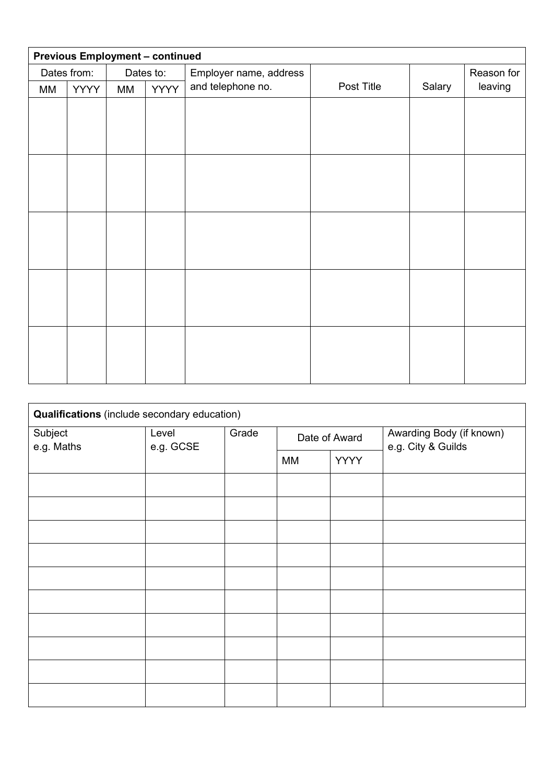| <b>Previous Employment - continued</b> |             |                        |             |                   |            |        |         |
|----------------------------------------|-------------|------------------------|-------------|-------------------|------------|--------|---------|
| Dates from:<br>Dates to:               |             | Employer name, address |             |                   | Reason for |        |         |
| МM                                     | <b>YYYY</b> | МM                     | <b>YYYY</b> | and telephone no. | Post Title | Salary | leaving |
|                                        |             |                        |             |                   |            |        |         |
|                                        |             |                        |             |                   |            |        |         |
|                                        |             |                        |             |                   |            |        |         |
|                                        |             |                        |             |                   |            |        |         |
|                                        |             |                        |             |                   |            |        |         |
|                                        |             |                        |             |                   |            |        |         |
|                                        |             |                        |             |                   |            |        |         |
|                                        |             |                        |             |                   |            |        |         |
|                                        |             |                        |             |                   |            |        |         |
|                                        |             |                        |             |                   |            |        |         |
|                                        |             |                        |             |                   |            |        |         |
|                                        |             |                        |             |                   |            |        |         |
|                                        |             |                        |             |                   |            |        |         |
|                                        |             |                        |             |                   |            |        |         |
|                                        |             |                        |             |                   |            |        |         |

| <b>Qualifications</b> (include secondary education) |                    |       |             |               |                                                |  |
|-----------------------------------------------------|--------------------|-------|-------------|---------------|------------------------------------------------|--|
| Subject<br>e.g. Maths                               | Level<br>e.g. GCSE | Grade |             | Date of Award | Awarding Body (if known)<br>e.g. City & Guilds |  |
|                                                     |                    | МM    | <b>YYYY</b> |               |                                                |  |
|                                                     |                    |       |             |               |                                                |  |
|                                                     |                    |       |             |               |                                                |  |
|                                                     |                    |       |             |               |                                                |  |
|                                                     |                    |       |             |               |                                                |  |
|                                                     |                    |       |             |               |                                                |  |
|                                                     |                    |       |             |               |                                                |  |
|                                                     |                    |       |             |               |                                                |  |
|                                                     |                    |       |             |               |                                                |  |
|                                                     |                    |       |             |               |                                                |  |
|                                                     |                    |       |             |               |                                                |  |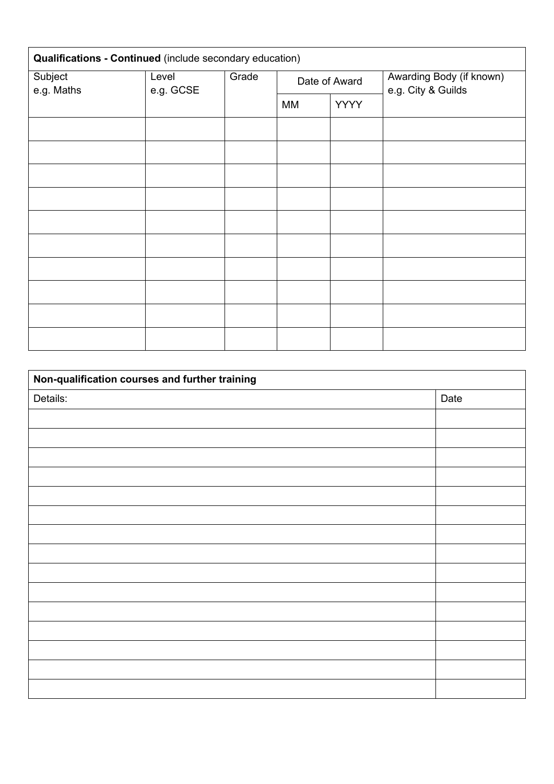| Qualifications - Continued (include secondary education) |                    |       |    |               |                                                |  |
|----------------------------------------------------------|--------------------|-------|----|---------------|------------------------------------------------|--|
| Subject<br>e.g. Maths                                    | Level<br>e.g. GCSE | Grade |    | Date of Award | Awarding Body (if known)<br>e.g. City & Guilds |  |
|                                                          |                    |       | МM | <b>YYYY</b>   |                                                |  |
|                                                          |                    |       |    |               |                                                |  |
|                                                          |                    |       |    |               |                                                |  |
|                                                          |                    |       |    |               |                                                |  |
|                                                          |                    |       |    |               |                                                |  |
|                                                          |                    |       |    |               |                                                |  |
|                                                          |                    |       |    |               |                                                |  |
|                                                          |                    |       |    |               |                                                |  |
|                                                          |                    |       |    |               |                                                |  |
|                                                          |                    |       |    |               |                                                |  |
|                                                          |                    |       |    |               |                                                |  |

| Non-qualification courses and further training |      |  |
|------------------------------------------------|------|--|
| Details:                                       | Date |  |
|                                                |      |  |
|                                                |      |  |
|                                                |      |  |
|                                                |      |  |
|                                                |      |  |
|                                                |      |  |
|                                                |      |  |
|                                                |      |  |
|                                                |      |  |
|                                                |      |  |
|                                                |      |  |
|                                                |      |  |
|                                                |      |  |
|                                                |      |  |
|                                                |      |  |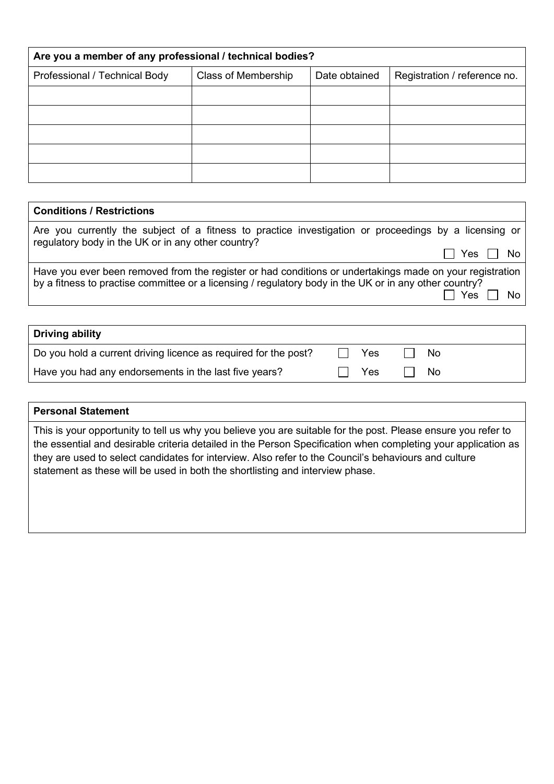| Are you a member of any professional / technical bodies? |                            |               |                              |  |  |
|----------------------------------------------------------|----------------------------|---------------|------------------------------|--|--|
| Professional / Technical Body                            | <b>Class of Membership</b> | Date obtained | Registration / reference no. |  |  |
|                                                          |                            |               |                              |  |  |
|                                                          |                            |               |                              |  |  |
|                                                          |                            |               |                              |  |  |
|                                                          |                            |               |                              |  |  |
|                                                          |                            |               |                              |  |  |

| <b>Conditions / Restrictions</b>                                                                                                                                                                                          |           |
|---------------------------------------------------------------------------------------------------------------------------------------------------------------------------------------------------------------------------|-----------|
| Are you currently the subject of a fitness to practice investigation or proceedings by a licensing or<br>regulatory body in the UK or in any other country?<br>$\Box$ Yes $\Box$ No                                       |           |
| Have you ever been removed from the register or had conditions or undertakings made on your registration<br>by a fitness to practise committee or a licensing / regulatory body in the UK or in any other country?<br>Yes | <b>No</b> |

| <b>Driving ability</b>                                          |     |           |
|-----------------------------------------------------------------|-----|-----------|
| Do you hold a current driving licence as required for the post? | Yes | <b>No</b> |
| Have you had any endorsements in the last five years?           | Yes | No        |

| <b>Personal Statement</b>                                                                                                                                                                                                                                                                                                                                                                                               |
|-------------------------------------------------------------------------------------------------------------------------------------------------------------------------------------------------------------------------------------------------------------------------------------------------------------------------------------------------------------------------------------------------------------------------|
| This is your opportunity to tell us why you believe you are suitable for the post. Please ensure you refer to<br>the essential and desirable criteria detailed in the Person Specification when completing your application as<br>they are used to select candidates for interview. Also refer to the Council's behaviours and culture<br>statement as these will be used in both the shortlisting and interview phase. |